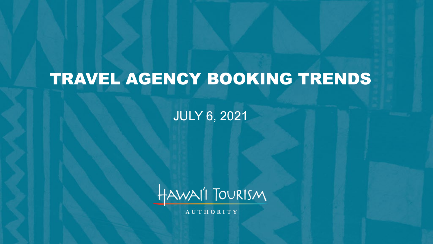# TRAVEL AGENCY BOOKING TRENDS

#### JULY 6, 2021



**AUTHORITY**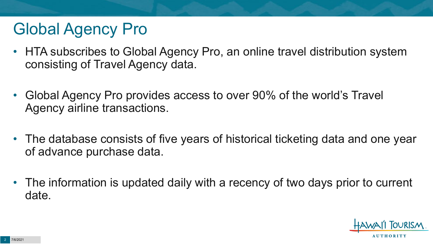# Global Agency Pro

- HTA subscribes to Global Agency Pro, an online travel distribution system consisting of Travel Agency data.
- Global Agency Pro provides access to over 90% of the world's Travel Agency airline transactions.
- The database consists of five years of historical ticketing data and one year of advance purchase data.
- The information is updated daily with a recency of two days prior to current date.

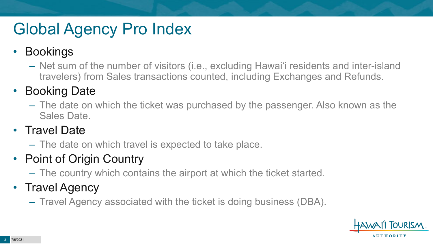# Global Agency Pro Index

#### • Bookings

– Net sum of the number of visitors (i.e., excluding Hawai'i residents and inter-island travelers) from Sales transactions counted, including Exchanges and Refunds.

#### • Booking Date

– The date on which the ticket was purchased by the passenger. Also known as the Sales Date.

#### • Travel Date

– The date on which travel is expected to take place.

#### • Point of Origin Country

– The country which contains the airport at which the ticket started.

#### • Travel Agency

– Travel Agency associated with the ticket is doing business (DBA).

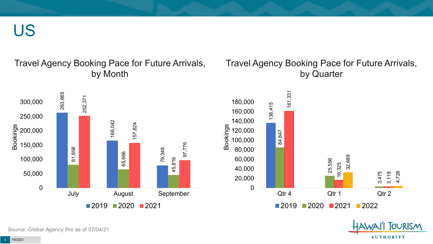US

#### Travel Agency Booking Pace for Future Arrivals, by Month

#### Travel Agency Booking Pace for Future Arrivals, by Quarter

**OURISM** 

**AUTHORITY** 



Source: Global Agency Pro as of 07/04/21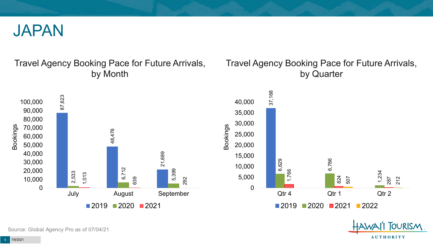

#### Travel Agency Booking Pace for Future Arrivals, by Month



#### Travel Agency Booking Pace for Future Arrivals, by Quarter



**OURISM** 

**AUTHORITY** 

Source: Global Agency Pro as of 07/04/21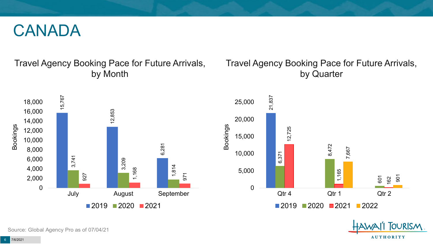#### CANADA

Travel Agency Booking Pace for Future Arrivals, by Month

#### Travel Agency Booking Pace for Future Arrivals, by Quarter





**FOURISM** 

**AUTHORITY** 

Source: Global Agency Pro as of 07/04/21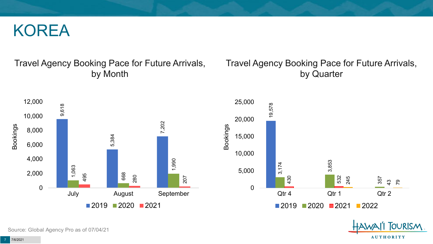#### KOREA

#### Travel Agency Booking Pace for Future Arrivals, by Month

#### Travel Agency Booking Pace for Future Arrivals, by Quarter

OURISM.

**AUTHORITY** 



Source: Global Agency Pro as of 07/04/21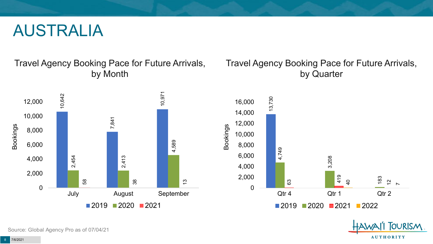#### AUSTRALIA

Travel Agency Booking Pace for Future Arrivals, by Month



#### Travel Agency Booking Pace for Future Arrivals, by Quarter



OURISM.

**AUTHORITY** 

Source: Global Agency Pro as of 07/04/21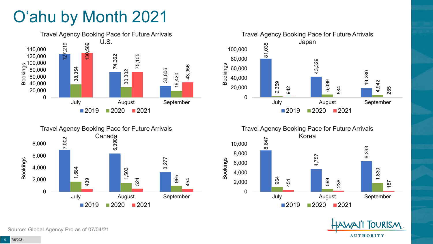# O'ahu by Month 2021











Source: Global Agency Pro as of 07/04/21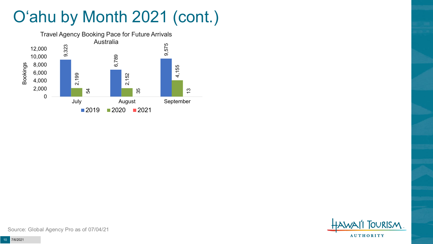# O'ahu by Month 2021 (cont.)



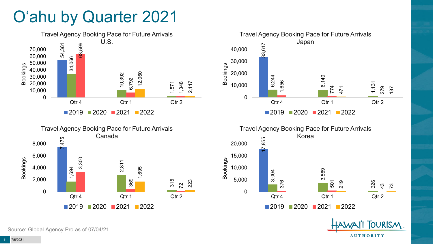### O'ahu by Quarter 2021









**TOURISM** 

**AUTHORITY** 

Source: Global Agency Pro as of 07/04/21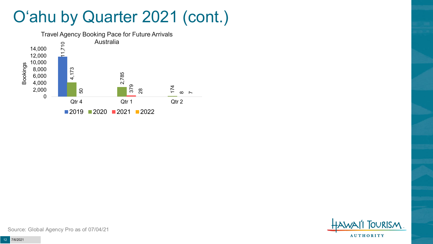### O'ahu by Quarter 2021 (cont.)



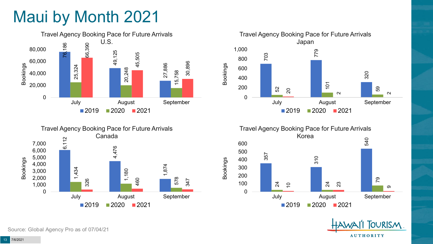# Maui by Month 2021











Source: Global Agency Pro as of 07/04/21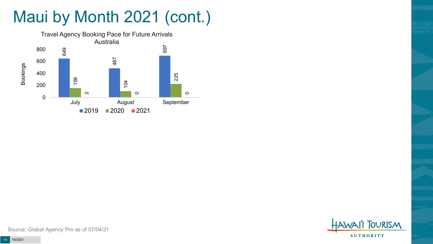# Maui by Month 2021 (cont.)



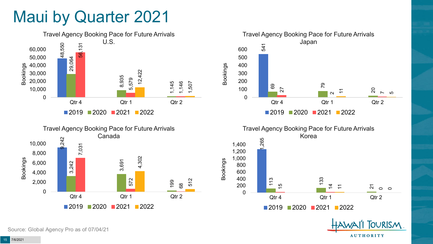### Maui by Quarter 2021





Travel Agency Booking Pace for Future Arrivals Japan 541 69 79 27 20 2<br>2<br>2 75 0 100 200 300 400 500 600 Qtr 4 Qtr 1 Qtr 2 ■2019 ■2020 ■2021 ■2022

Bookings



**TOURISM** 

**AUTHORITY** 

Source: Global Agency Pro as of 07/04/21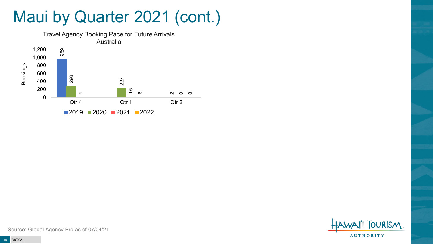### Maui by Quarter 2021 (cont.)



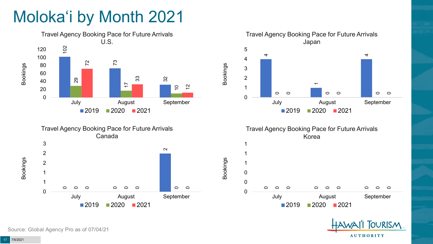# Moloka'i by Month 2021









Bookings





Source: Global Agency Pro as of 07/04/21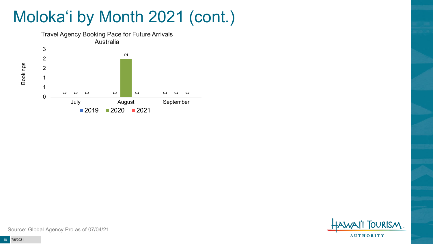# Moloka'i by Month 2021 (cont.)



**TOURISM AUTHORITY** 

Source: Global Agency Pro as of 07/04/21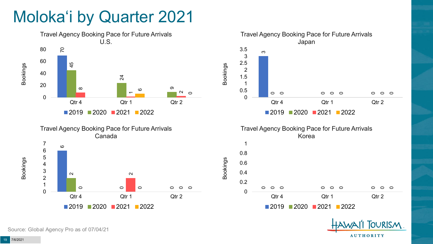## Moloka'i by Quarter 2021







2020 2021 2022



Source: Global Agency Pro as of 07/04/21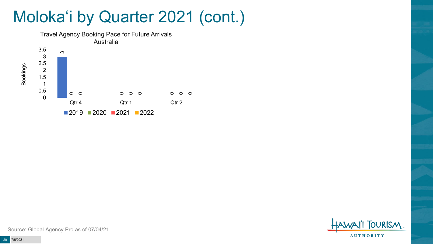### Moloka'i by Quarter 2021 (cont.)





Source: Global Agency Pro as of 07/04/21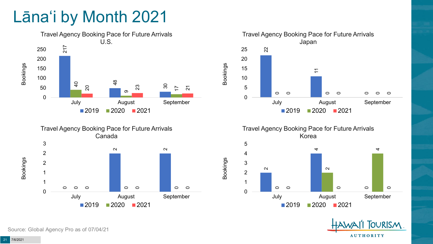## Lāna'i by Month 2021







Travel Agency Booking Pace for Future Arrivals Korea

Bookings





Source: Global Agency Pro as of 07/04/21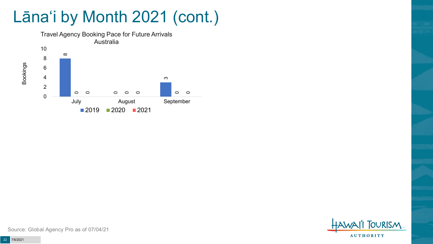# Lāna'i by Month 2021 (cont.)



**TOURISM AUTHORITY** 

Source: Global Agency Pro as of 07/04/21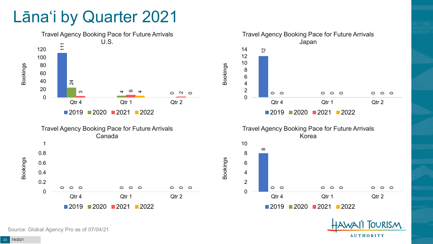### Lāna'i by Quarter 2021



Source: Global Agency Pro as of 07/04/21

**AUTHORITY** 

**OURISM**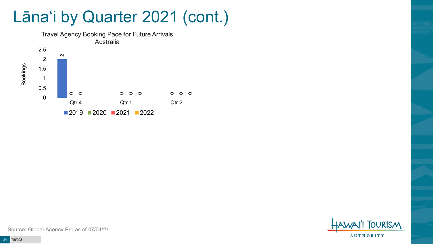### Lāna'i by Quarter 2021 (cont.)





Source: Global Agency Pro as of 07/04/21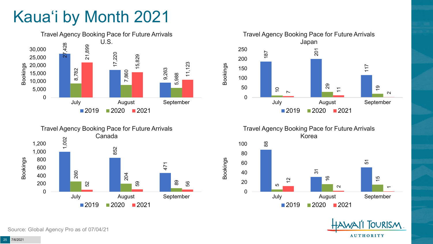# Kaua'i by Month 2021







Travel Agency Booking Pace for Future Arrivals Korea



Bookings



Source: Global Agency Pro as of 07/04/21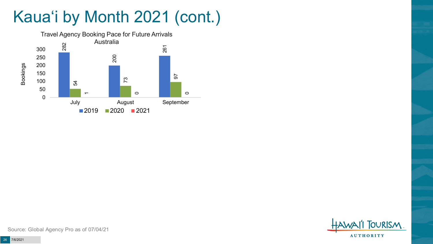# Kaua'i by Month 2021 (cont.)



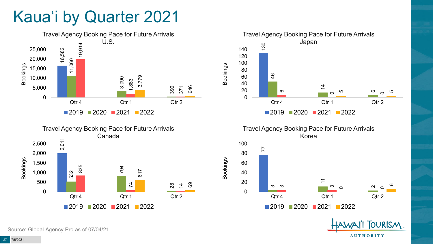## Kaua'i by Quarter 2021









Bookings



**FOURISM** 

**AUTHORITY** 

Source: Global Agency Pro as of 07/04/21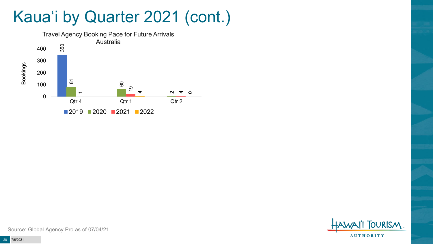### Kaua'i by Quarter 2021 (cont.)



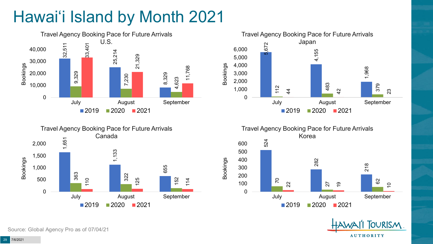# Hawai'i Island by Month 2021











Source: Global Agency Pro as of 07/04/21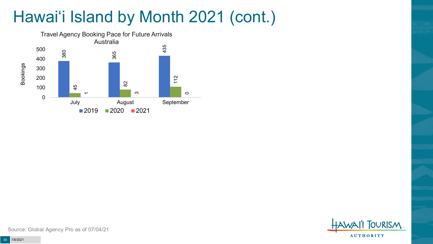# Hawai'i Island by Month 2021 (cont.)



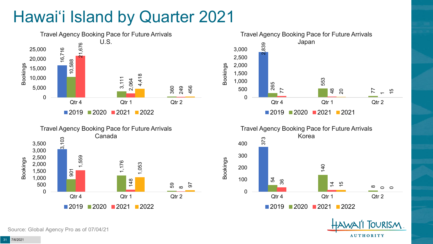# Hawai'i Island by Quarter 2021









**FOURISM** 

**AUTHORITY** 

Source: Global Agency Pro as of 07/04/21